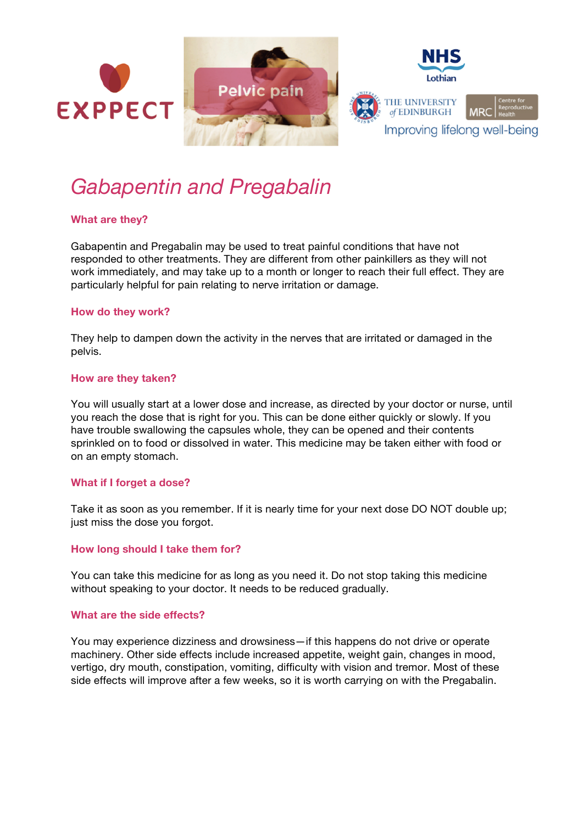

# *Gabapentin and Pregabalin*

## **What are they?**

Gabapentin and Pregabalin may be used to treat painful conditions that have not responded to other treatments. They are different from other painkillers as they will not work immediately, and may take up to a month or longer to reach their full effect. They are particularly helpful for pain relating to nerve irritation or damage.

## **How do they work?**

They help to dampen down the activity in the nerves that are irritated or damaged in the pelvis.

## **How are they taken?**

You will usually start at a lower dose and increase, as directed by your doctor or nurse, until you reach the dose that is right for you. This can be done either quickly or slowly. If you have trouble swallowing the capsules whole, they can be opened and their contents sprinkled on to food or dissolved in water. This medicine may be taken either with food or on an empty stomach.

#### **What if I forget a dose?**

Take it as soon as you remember. If it is nearly time for your next dose DO NOT double up; just miss the dose you forgot.

## **How long should I take them for?**

You can take this medicine for as long as you need it. Do not stop taking this medicine without speaking to your doctor. It needs to be reduced gradually.

#### **What are the side effects?**

You may experience dizziness and drowsiness—if this happens do not drive or operate machinery. Other side effects include increased appetite, weight gain, changes in mood, vertigo, dry mouth, constipation, vomiting, difficulty with vision and tremor. Most of these side effects will improve after a few weeks, so it is worth carrying on with the Pregabalin.